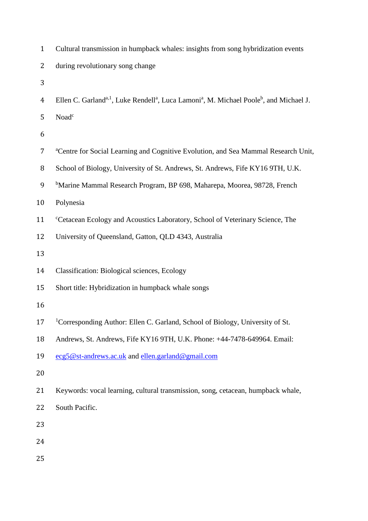| $\mathbf{1}$   | Cultural transmission in humpback whales: insights from song hybridization events                                                        |
|----------------|------------------------------------------------------------------------------------------------------------------------------------------|
| $\overline{2}$ | during revolutionary song change                                                                                                         |
| 3              |                                                                                                                                          |
| $\overline{4}$ | Ellen C. Garland <sup>a, 1</sup> , Luke Rendell <sup>a</sup> , Luca Lamoni <sup>a</sup> , M. Michael Poole <sup>b</sup> , and Michael J. |
| 5              | Noad <sup>c</sup>                                                                                                                        |
| 6              |                                                                                                                                          |
| $\overline{7}$ | <sup>a</sup> Centre for Social Learning and Cognitive Evolution, and Sea Mammal Research Unit,                                           |
| 8              | School of Biology, University of St. Andrews, St. Andrews, Fife KY16 9TH, U.K.                                                           |
| 9              | <sup>b</sup> Marine Mammal Research Program, BP 698, Maharepa, Moorea, 98728, French                                                     |
| 10             | Polynesia                                                                                                                                |
| 11             | <sup>c</sup> Cetacean Ecology and Acoustics Laboratory, School of Veterinary Science, The                                                |
| 12             | University of Queensland, Gatton, QLD 4343, Australia                                                                                    |
| 13             |                                                                                                                                          |
| 14             | <b>Classification: Biological sciences, Ecology</b>                                                                                      |
| 15             | Short title: Hybridization in humpback whale songs                                                                                       |
| 16             |                                                                                                                                          |
| 17             | <sup>1</sup> Corresponding Author: Ellen C. Garland, School of Biology, University of St.                                                |
| 18             | Andrews, St. Andrews, Fife KY16 9TH, U.K. Phone: +44-7478-649964. Email:                                                                 |
| 19             | ecg5@st-andrews.ac.uk and ellen.garland@gmail.com                                                                                        |
| 20             |                                                                                                                                          |
| 21             | Keywords: vocal learning, cultural transmission, song, cetacean, humpback whale,                                                         |
| 22             | South Pacific.                                                                                                                           |
| 23             |                                                                                                                                          |
| 24             |                                                                                                                                          |
| 25             |                                                                                                                                          |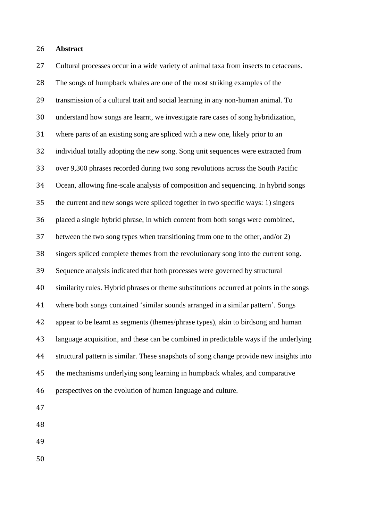## **Abstract**

 Cultural processes occur in a wide variety of animal taxa from insects to cetaceans. The songs of humpback whales are one of the most striking examples of the transmission of a cultural trait and social learning in any non-human animal. To understand how songs are learnt, we investigate rare cases of song hybridization, where parts of an existing song are spliced with a new one, likely prior to an individual totally adopting the new song. Song unit sequences were extracted from over 9,300 phrases recorded during two song revolutions across the South Pacific Ocean, allowing fine-scale analysis of composition and sequencing. In hybrid songs the current and new songs were spliced together in two specific ways: 1) singers placed a single hybrid phrase, in which content from both songs were combined, between the two song types when transitioning from one to the other, and/or 2) singers spliced complete themes from the revolutionary song into the current song. Sequence analysis indicated that both processes were governed by structural similarity rules. Hybrid phrases or theme substitutions occurred at points in the songs where both songs contained 'similar sounds arranged in a similar pattern'. Songs appear to be learnt as segments (themes/phrase types), akin to birdsong and human language acquisition, and these can be combined in predictable ways if the underlying structural pattern is similar. These snapshots of song change provide new insights into the mechanisms underlying song learning in humpback whales, and comparative perspectives on the evolution of human language and culture. 

- 
- 
- 
-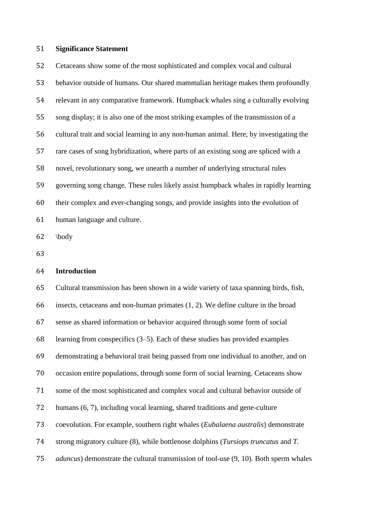## **Significance Statement**

 Cetaceans show some of the most sophisticated and complex vocal and cultural behavior outside of humans. Our shared mammalian heritage makes them profoundly relevant in any comparative framework. Humpback whales sing a culturally evolving song display; it is also one of the most striking examples of the transmission of a cultural trait and social learning in any non-human animal. Here, by investigating the rare cases of song hybridization, where parts of an existing song are spliced with a novel, revolutionary song, we unearth a number of underlying structural rules governing song change. These rules likely assist humpback whales in rapidly learning their complex and ever-changing songs, and provide insights into the evolution of human language and culture.

\body

## **Introduction**

 Cultural transmission has been shown in a wide variety of taxa spanning birds, fish, insects, cetaceans and non-human primates (1, 2). We define culture in the broad sense as shared information or behavior acquired through some form of social learning from conspecifics (3–5). Each of these studies has provided examples demonstrating a behavioral trait being passed from one individual to another, and on occasion entire populations, through some form of social learning. Cetaceans show some of the most sophisticated and complex vocal and cultural behavior outside of humans (6, 7), including vocal learning, shared traditions and gene-culture coevolution. For example, southern right whales (*Eubalaena australis*) demonstrate strong migratory culture (8), while bottlenose dolphins (*Tursiops truncatus* and *T. aduncus*) demonstrate the cultural transmission of tool-use (9, 10). Both sperm whales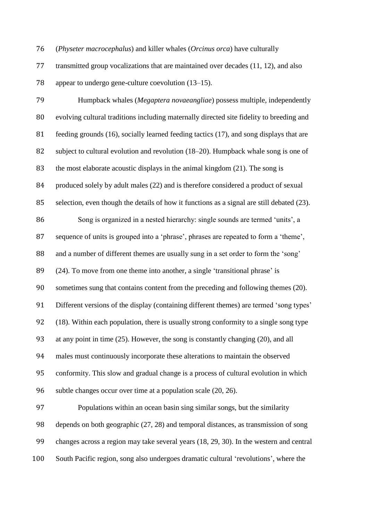(*Physeter macrocephalus*) and killer whales (*Orcinus orca*) have culturally

 transmitted group vocalizations that are maintained over decades (11, 12), and also appear to undergo gene-culture coevolution (13–15).

 Humpback whales (*Megaptera novaeangliae*) possess multiple, independently evolving cultural traditions including maternally directed site fidelity to breeding and feeding grounds (16), socially learned feeding tactics (17), and song displays that are subject to cultural evolution and revolution (18–20). Humpback whale song is one of the most elaborate acoustic displays in the animal kingdom (21). The song is produced solely by adult males (22) and is therefore considered a product of sexual selection, even though the details of how it functions as a signal are still debated (23). Song is organized in a nested hierarchy: single sounds are termed 'units', a sequence of units is grouped into a 'phrase', phrases are repeated to form a 'theme', and a number of different themes are usually sung in a set order to form the 'song' (24). To move from one theme into another, a single 'transitional phrase' is sometimes sung that contains content from the preceding and following themes (20). Different versions of the display (containing different themes) are termed 'song types' (18). Within each population, there is usually strong conformity to a single song type at any point in time (25). However, the song is constantly changing (20), and all males must continuously incorporate these alterations to maintain the observed conformity. This slow and gradual change is a process of cultural evolution in which subtle changes occur over time at a population scale (20, 26). Populations within an ocean basin sing similar songs, but the similarity depends on both geographic (27, 28) and temporal distances, as transmission of song changes across a region may take several years (18, 29, 30). In the western and central South Pacific region, song also undergoes dramatic cultural 'revolutions', where the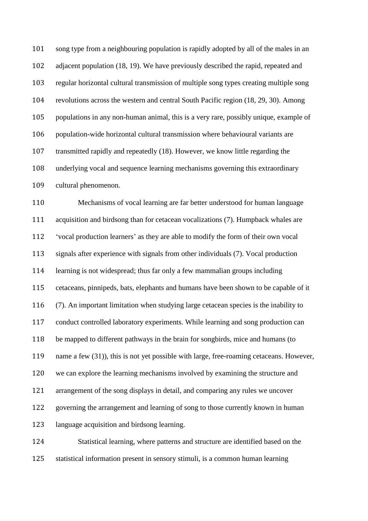song type from a neighbouring population is rapidly adopted by all of the males in an adjacent population (18, 19). We have previously described the rapid, repeated and regular horizontal cultural transmission of multiple song types creating multiple song revolutions across the western and central South Pacific region (18, 29, 30). Among populations in any non-human animal, this is a very rare, possibly unique, example of population-wide horizontal cultural transmission where behavioural variants are transmitted rapidly and repeatedly (18). However, we know little regarding the underlying vocal and sequence learning mechanisms governing this extraordinary cultural phenomenon.

 Mechanisms of vocal learning are far better understood for human language acquisition and birdsong than for cetacean vocalizations (7). Humpback whales are 'vocal production learners' as they are able to modify the form of their own vocal signals after experience with signals from other individuals (7). Vocal production learning is not widespread; thus far only a few mammalian groups including cetaceans, pinnipeds, bats, elephants and humans have been shown to be capable of it (7). An important limitation when studying large cetacean species is the inability to conduct controlled laboratory experiments. While learning and song production can be mapped to different pathways in the brain for songbirds, mice and humans (to 119 name a few (31)), this is not yet possible with large, free-roaming cetaceans. However, we can explore the learning mechanisms involved by examining the structure and arrangement of the song displays in detail, and comparing any rules we uncover governing the arrangement and learning of song to those currently known in human language acquisition and birdsong learning. Statistical learning, where patterns and structure are identified based on the

statistical information present in sensory stimuli, is a common human learning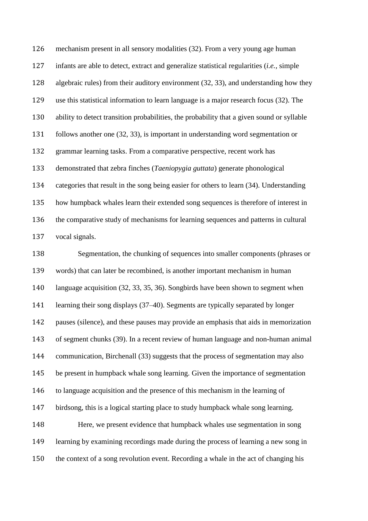mechanism present in all sensory modalities (32). From a very young age human infants are able to detect, extract and generalize statistical regularities (*i.e.,* simple algebraic rules) from their auditory environment (32, 33), and understanding how they use this statistical information to learn language is a major research focus (32). The ability to detect transition probabilities, the probability that a given sound or syllable follows another one (32, 33), is important in understanding word segmentation or grammar learning tasks. From a comparative perspective, recent work has demonstrated that zebra finches (*Taeniopygia guttata*) generate phonological categories that result in the song being easier for others to learn (34). Understanding how humpback whales learn their extended song sequences is therefore of interest in the comparative study of mechanisms for learning sequences and patterns in cultural vocal signals.

 Segmentation, the chunking of sequences into smaller components (phrases or words) that can later be recombined, is another important mechanism in human language acquisition (32, 33, 35, 36). Songbirds have been shown to segment when learning their song displays (37–40). Segments are typically separated by longer pauses (silence), and these pauses may provide an emphasis that aids in memorization of segment chunks (39). In a recent review of human language and non-human animal communication, Birchenall (33) suggests that the process of segmentation may also be present in humpback whale song learning. Given the importance of segmentation to language acquisition and the presence of this mechanism in the learning of birdsong, this is a logical starting place to study humpback whale song learning. Here, we present evidence that humpback whales use segmentation in song learning by examining recordings made during the process of learning a new song in the context of a song revolution event. Recording a whale in the act of changing his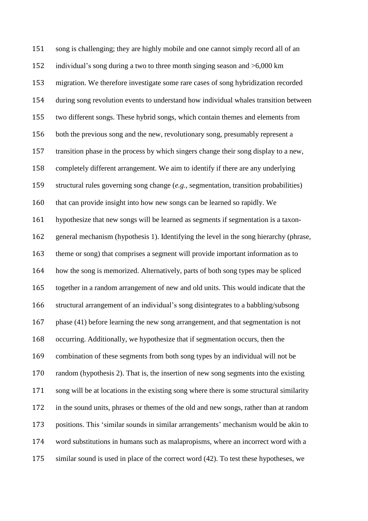song is challenging; they are highly mobile and one cannot simply record all of an individual's song during a two to three month singing season and >6,000 km migration. We therefore investigate some rare cases of song hybridization recorded during song revolution events to understand how individual whales transition between two different songs. These hybrid songs, which contain themes and elements from both the previous song and the new, revolutionary song, presumably represent a transition phase in the process by which singers change their song display to a new, completely different arrangement. We aim to identify if there are any underlying structural rules governing song change (*e.g.,* segmentation, transition probabilities) that can provide insight into how new songs can be learned so rapidly. We hypothesize that new songs will be learned as segments if segmentation is a taxon- general mechanism (hypothesis 1). Identifying the level in the song hierarchy (phrase, theme or song) that comprises a segment will provide important information as to how the song is memorized. Alternatively, parts of both song types may be spliced together in a random arrangement of new and old units. This would indicate that the structural arrangement of an individual's song disintegrates to a babbling/subsong phase (41) before learning the new song arrangement, and that segmentation is not occurring. Additionally, we hypothesize that if segmentation occurs, then the combination of these segments from both song types by an individual will not be random (hypothesis 2). That is, the insertion of new song segments into the existing song will be at locations in the existing song where there is some structural similarity in the sound units, phrases or themes of the old and new songs, rather than at random positions. This 'similar sounds in similar arrangements' mechanism would be akin to word substitutions in humans such as malapropisms, where an incorrect word with a similar sound is used in place of the correct word (42). To test these hypotheses, we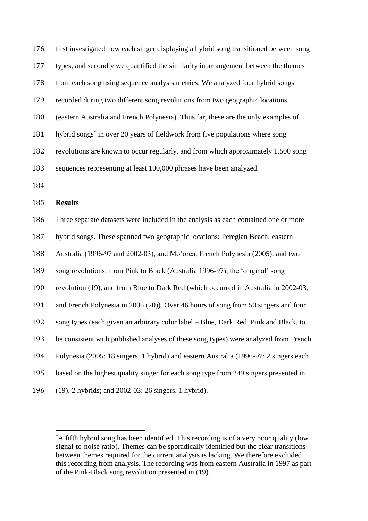first investigated how each singer displaying a hybrid song transitioned between song types, and secondly we quantified the similarity in arrangement between the themes from each song using sequence analysis metrics. We analyzed four hybrid songs recorded during two different song revolutions from two geographic locations (eastern Australia and French Polynesia). Thus far, these are the only examples of 181 hybrid songs<sup>\*</sup> in over 20 years of fieldwork from five populations where song revolutions are known to occur regularly, and from which approximately 1,500 song sequences representing at least 100,000 phrases have been analyzed. 

**Results** 

 $\overline{\phantom{a}}$ 

 Three separate datasets were included in the analysis as each contained one or more hybrid songs. These spanned two geographic locations: Peregian Beach, eastern Australia (1996-97 and 2002-03), and Mo'orea, French Polynesia (2005); and two song revolutions: from Pink to Black (Australia 1996-97), the 'original' song revolution (19), and from Blue to Dark Red (which occurred in Australia in 2002-03, and French Polynesia in 2005 (20)). Over 46 hours of song from 50 singers and four song types (each given an arbitrary color label – Blue, Dark Red, Pink and Black, to be consistent with published analyses of these song types) were analyzed from French Polynesia (2005: 18 singers, 1 hybrid) and eastern Australia (1996-97: 2 singers each based on the highest quality singer for each song type from 249 singers presented in (19), 2 hybrids; and 2002-03: 26 singers, 1 hybrid).

<sup>\*</sup>A fifth hybrid song has been identified. This recording is of a very poor quality (low signal-to-noise ratio). Themes can be sporadically identified but the clear transitions between themes required for the current analysis is lacking. We therefore excluded this recording from analysis. The recording was from eastern Australia in 1997 as part of the Pink-Black song revolution presented in (19).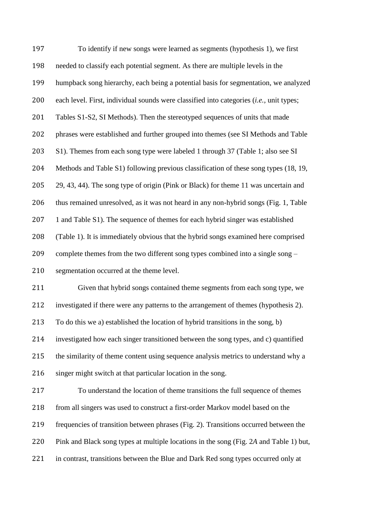To identify if new songs were learned as segments (hypothesis 1), we first needed to classify each potential segment. As there are multiple levels in the humpback song hierarchy, each being a potential basis for segmentation, we analyzed each level. First, individual sounds were classified into categories (*i.e.,* unit types; Tables S1-S2, SI Methods). Then the stereotyped sequences of units that made phrases were established and further grouped into themes (see SI Methods and Table S1). Themes from each song type were labeled 1 through 37 (Table 1; also see SI Methods and Table S1) following previous classification of these song types (18, 19, 29, 43, 44). The song type of origin (Pink or Black) for theme 11 was uncertain and thus remained unresolved, as it was not heard in any non-hybrid songs (Fig. 1, Table 1 and Table S1). The sequence of themes for each hybrid singer was established (Table 1). It is immediately obvious that the hybrid songs examined here comprised complete themes from the two different song types combined into a single song – segmentation occurred at the theme level. Given that hybrid songs contained theme segments from each song type, we investigated if there were any patterns to the arrangement of themes (hypothesis 2). To do this we a) established the location of hybrid transitions in the song, b) investigated how each singer transitioned between the song types, and c) quantified the similarity of theme content using sequence analysis metrics to understand why a 216 singer might switch at that particular location in the song. To understand the location of theme transitions the full sequence of themes from all singers was used to construct a first-order Markov model based on the frequencies of transition between phrases (Fig. 2). Transitions occurred between the Pink and Black song types at multiple locations in the song (Fig. 2*A* and Table 1) but, in contrast, transitions between the Blue and Dark Red song types occurred only at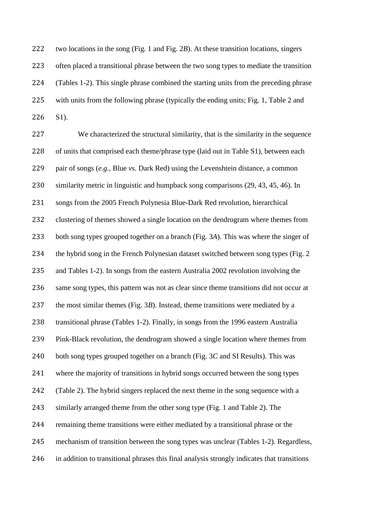two locations in the song (Fig. 1 and Fig. 2*B*). At these transition locations, singers often placed a transitional phrase between the two song types to mediate the transition (Tables 1-2). This single phrase combined the starting units from the preceding phrase with units from the following phrase (typically the ending units; Fig. 1, Table 2 and S1).

 We characterized the structural similarity, that is the similarity in the sequence 228 of units that comprised each theme/phrase type (laid out in Table S1), between each pair of songs (*e.g.,* Blue *vs.* Dark Red) using the Levenshtein distance, a common similarity metric in linguistic and humpback song comparisons (29, 43, 45, 46). In songs from the 2005 French Polynesia Blue-Dark Red revolution, hierarchical clustering of themes showed a single location on the dendrogram where themes from both song types grouped together on a branch (Fig. 3*A*). This was where the singer of the hybrid song in the French Polynesian dataset switched between song types (Fig. 2 and Tables 1-2). In songs from the eastern Australia 2002 revolution involving the same song types, this pattern was not as clear since theme transitions did not occur at the most similar themes (Fig. 3*B*). Instead, theme transitions were mediated by a transitional phrase (Tables 1-2). Finally, in songs from the 1996 eastern Australia Pink-Black revolution, the dendrogram showed a single location where themes from both song types grouped together on a branch (Fig. 3*C* and SI Results). This was where the majority of transitions in hybrid songs occurred between the song types (Table 2). The hybrid singers replaced the next theme in the song sequence with a similarly arranged theme from the other song type (Fig. 1 and Table 2). The remaining theme transitions were either mediated by a transitional phrase or the mechanism of transition between the song types was unclear (Tables 1-2). Regardless, in addition to transitional phrases this final analysis strongly indicates that transitions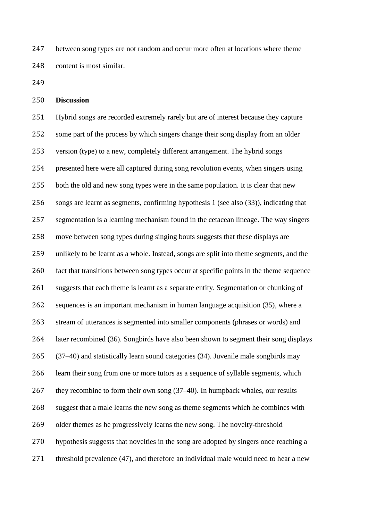between song types are not random and occur more often at locations where theme content is most similar.

**Discussion**

 Hybrid songs are recorded extremely rarely but are of interest because they capture some part of the process by which singers change their song display from an older version (type) to a new, completely different arrangement. The hybrid songs presented here were all captured during song revolution events, when singers using both the old and new song types were in the same population. It is clear that new songs are learnt as segments, confirming hypothesis 1 (see also (33)), indicating that segmentation is a learning mechanism found in the cetacean lineage. The way singers move between song types during singing bouts suggests that these displays are unlikely to be learnt as a whole. Instead, songs are split into theme segments, and the fact that transitions between song types occur at specific points in the theme sequence suggests that each theme is learnt as a separate entity. Segmentation or chunking of sequences is an important mechanism in human language acquisition (35), where a stream of utterances is segmented into smaller components (phrases or words) and later recombined (36). Songbirds have also been shown to segment their song displays (37–40) and statistically learn sound categories (34). Juvenile male songbirds may learn their song from one or more tutors as a sequence of syllable segments, which 267 they recombine to form their own song (37–40). In humpback whales, our results suggest that a male learns the new song as theme segments which he combines with older themes as he progressively learns the new song. The novelty-threshold hypothesis suggests that novelties in the song are adopted by singers once reaching a 271 threshold prevalence (47), and therefore an individual male would need to hear a new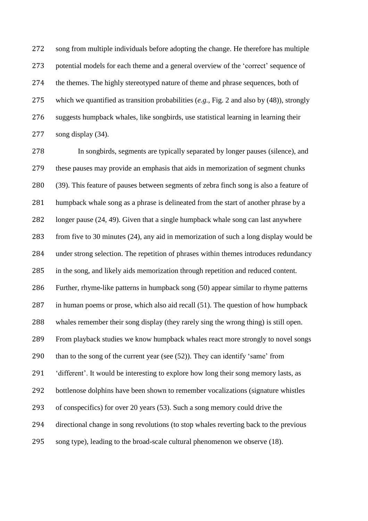song from multiple individuals before adopting the change. He therefore has multiple potential models for each theme and a general overview of the 'correct' sequence of the themes. The highly stereotyped nature of theme and phrase sequences, both of which we quantified as transition probabilities (*e.g.,* Fig. 2 and also by (48)), strongly suggests humpback whales, like songbirds, use statistical learning in learning their song display (34).

 In songbirds, segments are typically separated by longer pauses (silence), and these pauses may provide an emphasis that aids in memorization of segment chunks (39). This feature of pauses between segments of zebra finch song is also a feature of humpback whale song as a phrase is delineated from the start of another phrase by a longer pause (24, 49). Given that a single humpback whale song can last anywhere from five to 30 minutes (24), any aid in memorization of such a long display would be under strong selection. The repetition of phrases within themes introduces redundancy in the song, and likely aids memorization through repetition and reduced content. Further, rhyme-like patterns in humpback song (50) appear similar to rhyme patterns in human poems or prose, which also aid recall (51). The question of how humpback whales remember their song display (they rarely sing the wrong thing) is still open. From playback studies we know humpback whales react more strongly to novel songs than to the song of the current year (see (52)). They can identify 'same' from 'different'. It would be interesting to explore how long their song memory lasts, as bottlenose dolphins have been shown to remember vocalizations (signature whistles of conspecifics) for over 20 years (53). Such a song memory could drive the directional change in song revolutions (to stop whales reverting back to the previous song type), leading to the broad-scale cultural phenomenon we observe (18).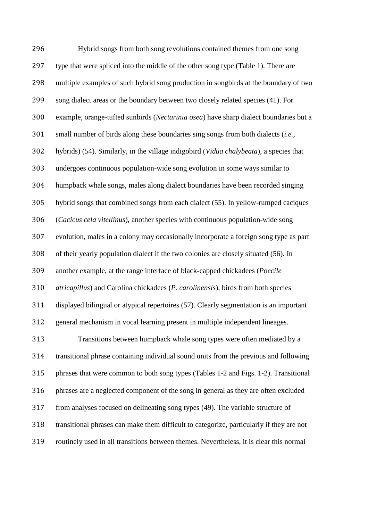Hybrid songs from both song revolutions contained themes from one song type that were spliced into the middle of the other song type (Table 1). There are multiple examples of such hybrid song production in songbirds at the boundary of two song dialect areas or the boundary between two closely related species (41). For example, orange-tufted sunbirds (*Nectarinia osea*) have sharp dialect boundaries but a small number of birds along these boundaries sing songs from both dialects (*i.e.,* hybrids) (54). Similarly, in the village indigobird (*Vidua chalybeata*), a species that undergoes continuous population-wide song evolution in some ways similar to humpback whale songs, males along dialect boundaries have been recorded singing hybrid songs that combined songs from each dialect (55). In yellow-rumped caciques (*Cacicus cela vitellinus*), another species with continuous population-wide song evolution, males in a colony may occasionally incorporate a foreign song type as part of their yearly population dialect if the two colonies are closely situated (56). In another example, at the range interface of black-capped chickadees (*Poecile atricapillus*) and Carolina chickadees (*P. carolinensis*), birds from both species displayed bilingual or atypical repertoires (57). Clearly segmentation is an important general mechanism in vocal learning present in multiple independent lineages. Transitions between humpback whale song types were often mediated by a transitional phrase containing individual sound units from the previous and following phrases that were common to both song types (Tables 1-2 and Figs. 1-2). Transitional phrases are a neglected component of the song in general as they are often excluded from analyses focused on delineating song types (49). The variable structure of transitional phrases can make them difficult to categorize, particularly if they are not routinely used in all transitions between themes. Nevertheless, it is clear this normal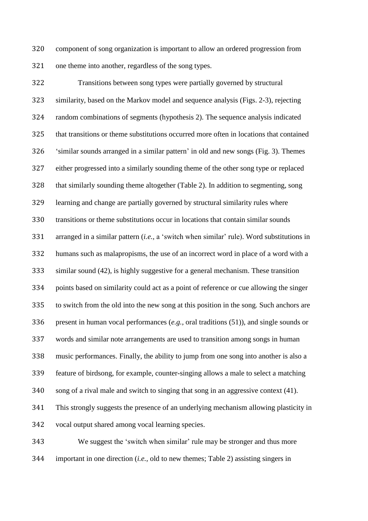component of song organization is important to allow an ordered progression from one theme into another, regardless of the song types.

 Transitions between song types were partially governed by structural similarity, based on the Markov model and sequence analysis (Figs. 2-3), rejecting random combinations of segments (hypothesis 2). The sequence analysis indicated that transitions or theme substitutions occurred more often in locations that contained 'similar sounds arranged in a similar pattern' in old and new songs (Fig. 3). Themes either progressed into a similarly sounding theme of the other song type or replaced that similarly sounding theme altogether (Table 2). In addition to segmenting, song learning and change are partially governed by structural similarity rules where transitions or theme substitutions occur in locations that contain similar sounds arranged in a similar pattern (*i.e.,* a 'switch when similar' rule). Word substitutions in humans such as malapropisms, the use of an incorrect word in place of a word with a similar sound (42), is highly suggestive for a general mechanism. These transition points based on similarity could act as a point of reference or cue allowing the singer to switch from the old into the new song at this position in the song. Such anchors are present in human vocal performances (*e.g.,* oral traditions (51)), and single sounds or words and similar note arrangements are used to transition among songs in human music performances. Finally, the ability to jump from one song into another is also a feature of birdsong, for example, counter-singing allows a male to select a matching song of a rival male and switch to singing that song in an aggressive context (41). This strongly suggests the presence of an underlying mechanism allowing plasticity in vocal output shared among vocal learning species.

 We suggest the 'switch when similar' rule may be stronger and thus more important in one direction (*i.e.,* old to new themes; Table 2) assisting singers in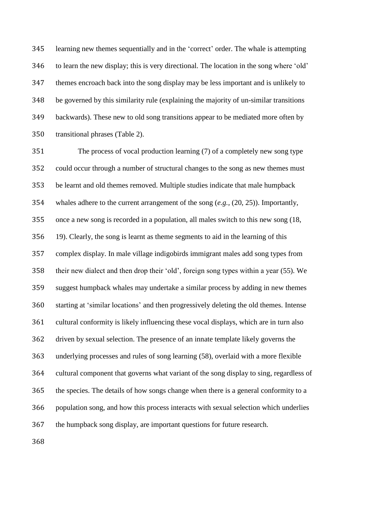learning new themes sequentially and in the 'correct' order. The whale is attempting to learn the new display; this is very directional. The location in the song where 'old' themes encroach back into the song display may be less important and is unlikely to be governed by this similarity rule (explaining the majority of un-similar transitions backwards). These new to old song transitions appear to be mediated more often by transitional phrases (Table 2).

 The process of vocal production learning (7) of a completely new song type could occur through a number of structural changes to the song as new themes must be learnt and old themes removed. Multiple studies indicate that male humpback whales adhere to the current arrangement of the song (*e.g.,* (20, 25)). Importantly, once a new song is recorded in a population, all males switch to this new song (18, 19). Clearly, the song is learnt as theme segments to aid in the learning of this complex display. In male village indigobirds immigrant males add song types from their new dialect and then drop their 'old', foreign song types within a year (55). We suggest humpback whales may undertake a similar process by adding in new themes starting at 'similar locations' and then progressively deleting the old themes. Intense cultural conformity is likely influencing these vocal displays, which are in turn also driven by sexual selection. The presence of an innate template likely governs the underlying processes and rules of song learning (58), overlaid with a more flexible cultural component that governs what variant of the song display to sing, regardless of the species. The details of how songs change when there is a general conformity to a population song, and how this process interacts with sexual selection which underlies the humpback song display, are important questions for future research.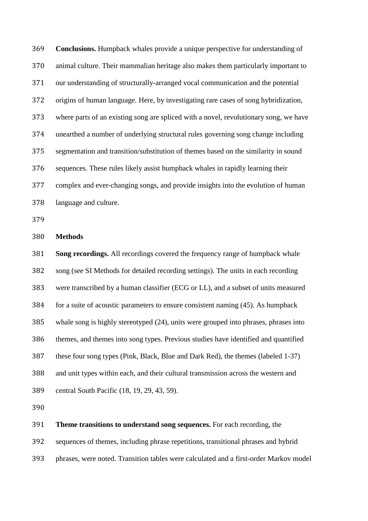**Conclusions.** Humpback whales provide a unique perspective for understanding of animal culture. Their mammalian heritage also makes them particularly important to our understanding of structurally-arranged vocal communication and the potential origins of human language. Here, by investigating rare cases of song hybridization, where parts of an existing song are spliced with a novel, revolutionary song, we have unearthed a number of underlying structural rules governing song change including segmentation and transition/substitution of themes based on the similarity in sound sequences. These rules likely assist humpback whales in rapidly learning their complex and ever-changing songs, and provide insights into the evolution of human language and culture.

**Methods**

 **Song recordings.** All recordings covered the frequency range of humpback whale song (see SI Methods for detailed recording settings). The units in each recording were transcribed by a human classifier (ECG or LL), and a subset of units measured for a suite of acoustic parameters to ensure consistent naming (45). As humpback whale song is highly stereotyped (24), units were grouped into phrases, phrases into themes, and themes into song types. Previous studies have identified and quantified these four song types (Pink, Black, Blue and Dark Red), the themes (labeled 1-37) and unit types within each, and their cultural transmission across the western and central South Pacific (18, 19, 29, 43, 59).

**Theme transitions to understand song sequences.** For each recording, the

sequences of themes, including phrase repetitions, transitional phrases and hybrid

phrases, were noted. Transition tables were calculated and a first-order Markov model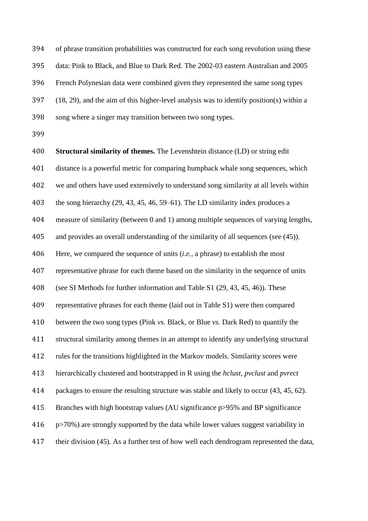of phrase transition probabilities was constructed for each song revolution using these data: Pink to Black, and Blue to Dark Red. The 2002-03 eastern Australian and 2005 French Polynesian data were combined given they represented the same song types (18, 29), and the aim of this higher-level analysis was to identify position(s) within a song where a singer may transition between two song types.

 **Structural similarity of themes.** The Levenshtein distance (LD) or string edit distance is a powerful metric for comparing humpback whale song sequences, which we and others have used extensively to understand song similarity at all levels within the song hierarchy (29, 43, 45, 46, 59–61). The LD similarity index produces a measure of similarity (between 0 and 1) among multiple sequences of varying lengths, and provides an overall understanding of the similarity of all sequences (see (45)). Here, we compared the sequence of units (*i.e.,* a phrase) to establish the most representative phrase for each theme based on the similarity in the sequence of units (see SI Methods for further information and Table S1 (29, 43, 45, 46)). These representative phrases for each theme (laid out in Table S1) were then compared between the two song types (Pink *vs.* Black, or Blue *vs.* Dark Red) to quantify the structural similarity among themes in an attempt to identify any underlying structural rules for the transitions highlighted in the Markov models. Similarity scores were hierarchically clustered and bootstrapped in R using the *hclust*, *pvclust* and *pvrect* packages to ensure the resulting structure was stable and likely to occur (43, 45, 62). Branches with high bootstrap values (AU significance p>95% and BP significance p>70%) are strongly supported by the data while lower values suggest variability in their division (45). As a further test of how well each dendrogram represented the data,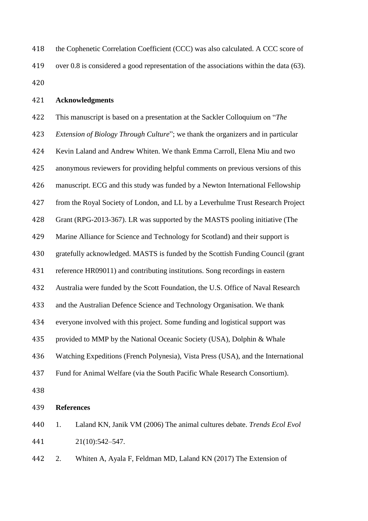| 418 | the Cophenetic Correlation Coefficient (CCC) was also calculated. A CCC score of          |
|-----|-------------------------------------------------------------------------------------------|
| 419 | over 0.8 is considered a good representation of the associations within the data $(63)$ . |
| 420 |                                                                                           |

## **Acknowledgments**

 This manuscript is based on a presentation at the Sackler Colloquium on "*The Extension of Biology Through Culture*"; we thank the organizers and in particular Kevin Laland and Andrew Whiten. We thank Emma Carroll, Elena Miu and two anonymous reviewers for providing helpful comments on previous versions of this manuscript. ECG and this study was funded by a Newton International Fellowship from the Royal Society of London, and LL by a Leverhulme Trust Research Project Grant (RPG-2013-367). LR was supported by the MASTS pooling initiative (The Marine Alliance for Science and Technology for Scotland) and their support is gratefully acknowledged. MASTS is funded by the Scottish Funding Council (grant reference HR09011) and contributing institutions. Song recordings in eastern Australia were funded by the Scott Foundation, the U.S. Office of Naval Research and the Australian Defence Science and Technology Organisation. We thank everyone involved with this project. Some funding and logistical support was provided to MMP by the National Oceanic Society (USA), Dolphin & Whale Watching Expeditions (French Polynesia), Vista Press (USA), and the International Fund for Animal Welfare (via the South Pacific Whale Research Consortium). **References** 1. Laland KN, Janik VM (2006) The animal cultures debate. *Trends Ecol Evol* 21(10):542–547. 2. Whiten A, Ayala F, Feldman MD, Laland KN (2017) The Extension of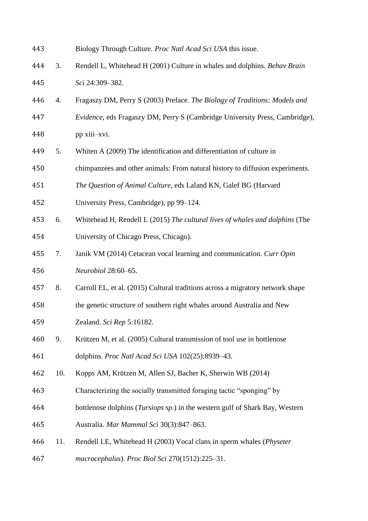| 443 |     | Biology Through Culture. Proc Natl Acad Sci USA this issue.                           |
|-----|-----|---------------------------------------------------------------------------------------|
| 444 | 3.  | Rendell L, Whitehead H (2001) Culture in whales and dolphins. Behav Brain             |
| 445 |     | Sci 24:309-382.                                                                       |
| 446 | 4.  | Fragaszy DM, Perry S (2003) Preface. The Biology of Traditions: Models and            |
| 447 |     | Evidence, eds Fragaszy DM, Perry S (Cambridge University Press, Cambridge),           |
| 448 |     | pp xiii-xvi.                                                                          |
| 449 | 5.  | Whiten A (2009) The identification and differentiation of culture in                  |
| 450 |     | chimpanzees and other animals: From natural history to diffusion experiments.         |
| 451 |     | The Question of Animal Culture, eds Laland KN, Galef BG (Harvard                      |
| 452 |     | University Press, Cambridge), pp 99–124.                                              |
| 453 | 6.  | Whitehead H, Rendell L (2015) The cultural lives of whales and dolphins (The          |
| 454 |     | University of Chicago Press, Chicago).                                                |
| 455 | 7.  | Janik VM (2014) Cetacean vocal learning and communication. Curr Opin                  |
| 456 |     | Neurobiol 28:60-65.                                                                   |
| 457 | 8.  | Carroll EL, et al. (2015) Cultural traditions across a migratory network shape        |
| 458 |     | the genetic structure of southern right whales around Australia and New               |
| 459 |     | Zealand. Sci Rep 5:16182.                                                             |
| 460 | 9.  | Krützen M, et al. (2005) Cultural transmission of tool use in bottlenose              |
| 461 |     | dolphins. Proc Natl Acad Sci USA 102(25):8939-43.                                     |
| 462 | 10. | Kopps AM, Krützen M, Allen SJ, Bacher K, Sherwin WB (2014)                            |
| 463 |     | Characterizing the socially transmitted foraging tactic "sponging" by                 |
| 464 |     | bottlenose dolphins ( <i>Tursiops sp.</i> ) in the western gulf of Shark Bay, Western |
| 465 |     | Australia. Mar Mammal Sci 30(3):847-863.                                              |
| 466 | 11. | Rendell LE, Whitehead H (2003) Vocal clans in sperm whales (Physeter                  |
| 467 |     | macrocephalus). Proc Biol Sci 270(1512):225-31.                                       |
|     |     |                                                                                       |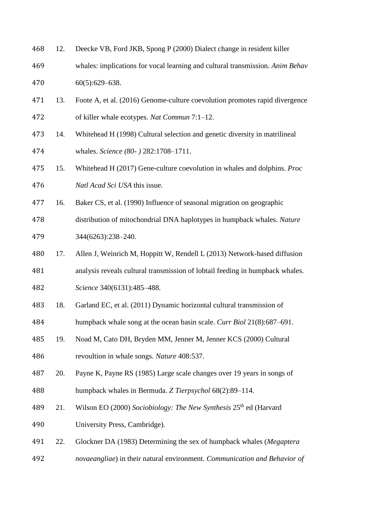| 468 | 12. | Deecke VB, Ford JKB, Spong P (2000) Dialect change in resident killer         |
|-----|-----|-------------------------------------------------------------------------------|
| 469 |     | whales: implications for vocal learning and cultural transmission. Anim Behav |
| 470 |     | $60(5):629-638.$                                                              |
| 471 | 13. | Foote A, et al. (2016) Genome-culture coevolution promotes rapid divergence   |
| 472 |     | of killer whale ecotypes. Nat Commun 7:1-12.                                  |
| 473 | 14. | Whitehead H (1998) Cultural selection and genetic diversity in matrilineal    |
| 474 |     | whales. Science (80-) 282:1708-1711.                                          |
| 475 | 15. | Whitehead H (2017) Gene-culture coevolution in whales and dolphins. Proc      |
| 476 |     | Natl Acad Sci USA this issue.                                                 |
| 477 | 16. | Baker CS, et al. (1990) Influence of seasonal migration on geographic         |
| 478 |     | distribution of mitochondrial DNA haplotypes in humpback whales. Nature       |
| 479 |     | 344(6263):238-240.                                                            |
| 480 | 17. | Allen J, Weinrich M, Hoppitt W, Rendell L (2013) Network-based diffusion      |
| 481 |     | analysis reveals cultural transmission of lobtail feeding in humpback whales. |
| 482 |     | Science 340(6131):485-488.                                                    |
| 483 | 18. | Garland EC, et al. (2011) Dynamic horizontal cultural transmission of         |
| 484 |     | humpback whale song at the ocean basin scale. Curr Biol 21(8):687–691.        |
| 485 | 19. | Noad M, Cato DH, Bryden MM, Jenner M, Jenner KCS (2000) Cultural              |
| 486 |     | revoultion in whale songs. Nature 408:537.                                    |
| 487 | 20. | Payne K, Payne RS (1985) Large scale changes over 19 years in songs of        |
| 488 |     | humpback whales in Bermuda. Z Tierpsychol 68(2):89-114.                       |
| 489 | 21. | Wilson EO (2000) Sociobiology: The New Synthesis $25th$ ed (Harvard           |
| 490 |     | University Press, Cambridge).                                                 |
| 491 | 22. | Glockner DA (1983) Determining the sex of humpback whales (Megaptera          |
| 492 |     | novaeangliae) in their natural environment. Communication and Behavior of     |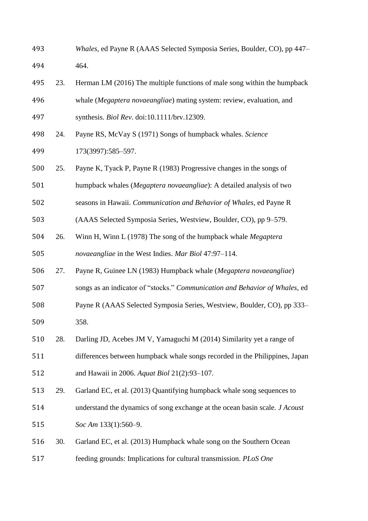- *Whales*, ed Payne R (AAAS Selected Symposia Series, Boulder, CO), pp 447– 464.
- 23. Herman LM (2016) The multiple functions of male song within the humpback whale (*Megaptera novaeangliae*) mating system: review, evaluation, and synthesis. *Biol Rev*. doi:10.1111/brv.12309.
- 24. Payne RS, McVay S (1971) Songs of humpback whales. *Science*  173(3997):585–597.
- 25. Payne K, Tyack P, Payne R (1983) Progressive changes in the songs of
- humpback whales (*Megaptera novaeangliae*): A detailed analysis of two
- seasons in Hawaii. *Communication and Behavior of Whales*, ed Payne R
- (AAAS Selected Symposia Series, Westview, Boulder, CO), pp 9–579.
- 26. Winn H, Winn L (1978) The song of the humpback whale *Megaptera novaeangliae* in the West Indies. *Mar Biol* 47:97–114.
- 27. Payne R, Guinee LN (1983) Humpback whale (*Megaptera novaeangliae*)
- songs as an indicator of "stocks." *Communication and Behavior of Whales*, ed
- Payne R (AAAS Selected Symposia Series, Westview, Boulder, CO), pp 333– 358.
- 28. Darling JD, Acebes JM V, Yamaguchi M (2014) Similarity yet a range of
- differences between humpback whale songs recorded in the Philippines, Japan and Hawaii in 2006. *Aquat Biol* 21(2):93–107.
- 29. Garland EC, et al. (2013) Quantifying humpback whale song sequences to
- understand the dynamics of song exchange at the ocean basin scale. *J Acoust Soc Am* 133(1):560–9.
- 30. Garland EC, et al. (2013) Humpback whale song on the Southern Ocean feeding grounds: Implications for cultural transmission. *PLoS One*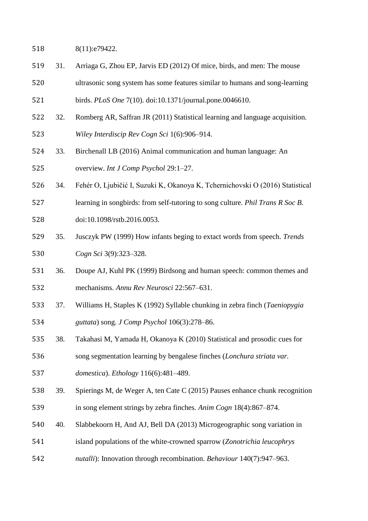518 8(11):e79422.

- 31. Arriaga G, Zhou EP, Jarvis ED (2012) Of mice, birds, and men: The mouse
- ultrasonic song system has some features similar to humans and song-learning

birds. *PLoS One* 7(10). doi:10.1371/journal.pone.0046610.

- 32. Romberg AR, Saffran JR (2011) Statistical learning and language acquisition. *Wiley Interdiscip Rev Cogn Sci* 1(6):906–914.
- 33. Birchenall LB (2016) Animal communication and human language: An overview. *Int J Comp Psychol* 29:1–27.
- 34. Fehér O, Ljubičić I, Suzuki K, Okanoya K, Tchernichovski O (2016) Statistical
- learning in songbirds: from self-tutoring to song culture. *Phil Trans R Soc B*.
- doi:10.1098/rstb.2016.0053.
- 35. Jusczyk PW (1999) How infants beging to extact words from speech. *Trends Cogn Sci* 3(9):323–328.
- 36. Doupe AJ, Kuhl PK (1999) Birdsong and human speech: common themes and mechanisms. *Annu Rev Neurosci* 22:567–631.
- 37. Williams H, Staples K (1992) Syllable chunking in zebra finch (*Taeniopygia guttata*) song. *J Comp Psychol* 106(3):278–86.
- 38. Takahasi M, Yamada H, Okanoya K (2010) Statistical and prosodic cues for
- song segmentation learning by bengalese finches (*Lonchura striata var.*
- *domestica*). *Ethology* 116(6):481–489.
- 39. Spierings M, de Weger A, ten Cate C (2015) Pauses enhance chunk recognition in song element strings by zebra finches. *Anim Cogn* 18(4):867–874.
- 40. Slabbekoorn H, And AJ, Bell DA (2013) Microgeographic song variation in
- island populations of the white-crowned sparrow (*Zonotrichia leucophrys*
- *nutalli*): Innovation through recombination. *Behaviour* 140(7):947–963.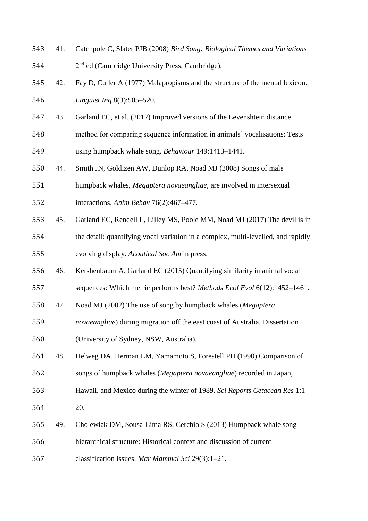| 543 | 41. | Catchpole C, Slater PJB (2008) Bird Song: Biological Themes and Variations        |
|-----|-----|-----------------------------------------------------------------------------------|
| 544 |     | 2 <sup>nd</sup> ed (Cambridge University Press, Cambridge).                       |
| 545 | 42. | Fay D, Cutler A (1977) Malapropisms and the structure of the mental lexicon.      |
| 546 |     | Linguist Ing 8(3):505-520.                                                        |
| 547 | 43. | Garland EC, et al. (2012) Improved versions of the Levenshtein distance           |
| 548 |     | method for comparing sequence information in animals' vocalisations: Tests        |
| 549 |     | using humpback whale song. Behaviour 149:1413-1441.                               |
| 550 | 44. | Smith JN, Goldizen AW, Dunlop RA, Noad MJ (2008) Songs of male                    |
| 551 |     | humpback whales, Megaptera novaeangliae, are involved in intersexual              |
| 552 |     | interactions. Anim Behav 76(2):467-477.                                           |
| 553 | 45. | Garland EC, Rendell L, Lilley MS, Poole MM, Noad MJ (2017) The devil is in        |
| 554 |     | the detail: quantifying vocal variation in a complex, multi-levelled, and rapidly |
| 555 |     | evolving display. Acoutical Soc Am in press.                                      |
| 556 | 46. | Kershenbaum A, Garland EC (2015) Quantifying similarity in animal vocal           |
| 557 |     | sequences: Which metric performs best? Methods Ecol Evol 6(12):1452-1461.         |
| 558 | 47. | Noad MJ (2002) The use of song by humpback whales (Megaptera                      |
| 559 |     | novaeangliae) during migration off the east coast of Australia. Dissertation      |
| 560 |     | (University of Sydney, NSW, Australia).                                           |
| 561 | 48. | Helweg DA, Herman LM, Yamamoto S, Forestell PH (1990) Comparison of               |
| 562 |     | songs of humpback whales (Megaptera novaeangliae) recorded in Japan,              |
| 563 |     | Hawaii, and Mexico during the winter of 1989. Sci Reports Cetacean Res 1:1-       |
| 564 |     | 20.                                                                               |
| 565 | 49. | Cholewiak DM, Sousa-Lima RS, Cerchio S (2013) Humpback whale song                 |
| 566 |     | hierarchical structure: Historical context and discussion of current              |
| 567 |     | classification issues. Mar Mammal Sci 29(3):1-21.                                 |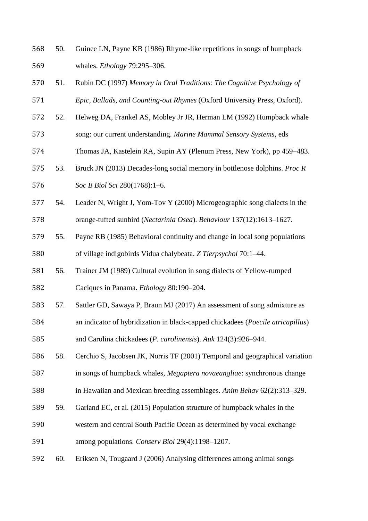- 50. Guinee LN, Payne KB (1986) Rhyme-like repetitions in songs of humpback whales. *Ethology* 79:295–306.
- 51. Rubin DC (1997) *Memory in Oral Traditions: The Cognitive Psychology of Epic, Ballads, and Counting-out Rhymes* (Oxford University Press, Oxford).
- 52. Helweg DA, Frankel AS, Mobley Jr JR, Herman LM (1992) Humpback whale
- song: our current understanding. *Marine Mammal Sensory Systems*, eds
- Thomas JA, Kastelein RA, Supin AY (Plenum Press, New York), pp 459–483.
- 53. Bruck JN (2013) Decades-long social memory in bottlenose dolphins. *Proc R Soc B Biol Sci* 280(1768):1–6.
- 54. Leader N, Wright J, Yom-Tov Y (2000) Microgeographic song dialects in the orange-tufted sunbird (*Nectarinia Osea*). *Behaviour* 137(12):1613–1627.
- 55. Payne RB (1985) Behavioral continuity and change in local song populations of village indigobirds Vidua chalybeata. *Z Tierpsychol* 70:1–44.
- 56. Trainer JM (1989) Cultural evolution in song dialects of Yellow-rumped Caciques in Panama. *Ethology* 80:190–204.
- 57. Sattler GD, Sawaya P, Braun MJ (2017) An assessment of song admixture as
- an indicator of hybridization in black-capped chickadees (*Poecile atricapillus*)
- and Carolina chickadees (*P. carolinensis*). *Auk* 124(3):926–944.
- 58. Cerchio S, Jacobsen JK, Norris TF (2001) Temporal and geographical variation
- in songs of humpback whales, *Megaptera novaeangliae*: synchronous change
- in Hawaiian and Mexican breeding assemblages. *Anim Behav* 62(2):313–329.
- 59. Garland EC, et al. (2015) Population structure of humpback whales in the
- western and central South Pacific Ocean as determined by vocal exchange among populations. *Conserv Biol* 29(4):1198–1207.
- 60. Eriksen N, Tougaard J (2006) Analysing differences among animal songs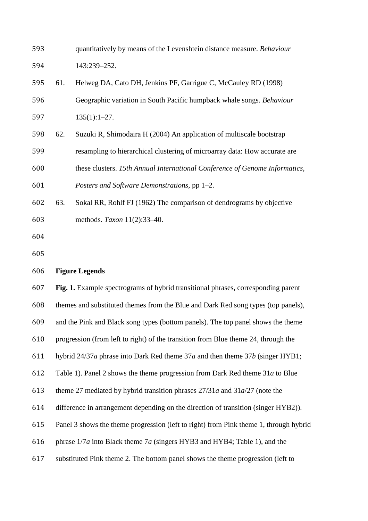| 593 |     | quantitatively by means of the Levenshtein distance measure. Behaviour                |
|-----|-----|---------------------------------------------------------------------------------------|
| 594 |     | 143:239-252.                                                                          |
| 595 | 61. | Helweg DA, Cato DH, Jenkins PF, Garrigue C, McCauley RD (1998)                        |
| 596 |     | Geographic variation in South Pacific humpback whale songs. Behaviour                 |
| 597 |     | $135(1):1-27.$                                                                        |
| 598 | 62. | Suzuki R, Shimodaira H (2004) An application of multiscale bootstrap                  |
| 599 |     | resampling to hierarchical clustering of microarray data: How accurate are            |
| 600 |     | these clusters. 15th Annual International Conference of Genome Informatics,           |
| 601 |     | Posters and Software Demonstrations, pp 1-2.                                          |
| 602 | 63. | Sokal RR, Rohlf FJ (1962) The comparison of dendrograms by objective                  |
| 603 |     | methods. Taxon 11(2):33-40.                                                           |
| 604 |     |                                                                                       |
| 605 |     |                                                                                       |
| 606 |     | <b>Figure Legends</b>                                                                 |
| 607 |     | Fig. 1. Example spectrograms of hybrid transitional phrases, corresponding parent     |
| 608 |     | themes and substituted themes from the Blue and Dark Red song types (top panels),     |
| 609 |     | and the Pink and Black song types (bottom panels). The top panel shows the theme      |
| 610 |     | progression (from left to right) of the transition from Blue theme 24, through the    |
| 611 |     | hybrid $24/37a$ phrase into Dark Red theme $37a$ and then theme $37b$ (singer HYB1;   |
| 612 |     | Table 1). Panel 2 shows the theme progression from Dark Red theme 31a to Blue         |
| 613 |     | theme 27 mediated by hybrid transition phrases $27/31a$ and $31a/27$ (note the        |
| 614 |     | difference in arrangement depending on the direction of transition (singer HYB2)).    |
| 615 |     | Panel 3 shows the theme progression (left to right) from Pink theme 1, through hybrid |
| 616 |     | phrase $1/7a$ into Black theme $7a$ (singers HYB3 and HYB4; Table 1), and the         |
| 617 |     | substituted Pink theme 2. The bottom panel shows the theme progression (left to       |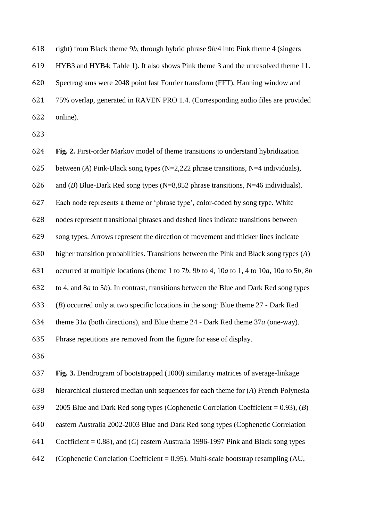right) from Black theme 9*b*, through hybrid phrase 9*b*/4 into Pink theme 4 (singers

HYB3 and HYB4; Table 1). It also shows Pink theme 3 and the unresolved theme 11.

 Spectrograms were 2048 point fast Fourier transform (FFT), Hanning window and 75% overlap, generated in RAVEN PRO 1.4. (Corresponding audio files are provided online).

**Fig. 2.** First-order Markov model of theme transitions to understand hybridization

between (*A*) Pink-Black song types (N=2,222 phrase transitions, N=4 individuals),

and (*B*) Blue-Dark Red song types (N=8,852 phrase transitions, N=46 individuals).

Each node represents a theme or 'phrase type', color-coded by song type. White

nodes represent transitional phrases and dashed lines indicate transitions between

song types. Arrows represent the direction of movement and thicker lines indicate

higher transition probabilities. Transitions between the Pink and Black song types (*A*)

occurred at multiple locations (theme 1 to 7*b*, 9*b* to 4, 10*a* to 1, 4 to 10*a*, 10*a* to 5*b*, 8*b*

to 4, and 8*a* to 5*b*). In contrast, transitions between the Blue and Dark Red song types

(*B*) occurred only at two specific locations in the song: Blue theme 27 - Dark Red

theme 31*a* (both directions), and Blue theme 24 - Dark Red theme 37*a* (one-way).

Phrase repetitions are removed from the figure for ease of display.

**Fig. 3.** Dendrogram of bootstrapped (1000) similarity matrices of average-linkage

hierarchical clustered median unit sequences for each theme for (*A*) French Polynesia

2005 Blue and Dark Red song types (Cophenetic Correlation Coefficient = 0.93), (*B*)

eastern Australia 2002-2003 Blue and Dark Red song types (Cophenetic Correlation

Coefficient = 0.88), and (*C*) eastern Australia 1996-1997 Pink and Black song types

642 (Cophenetic Correlation Coefficient =  $0.95$ ). Multi-scale bootstrap resampling (AU,